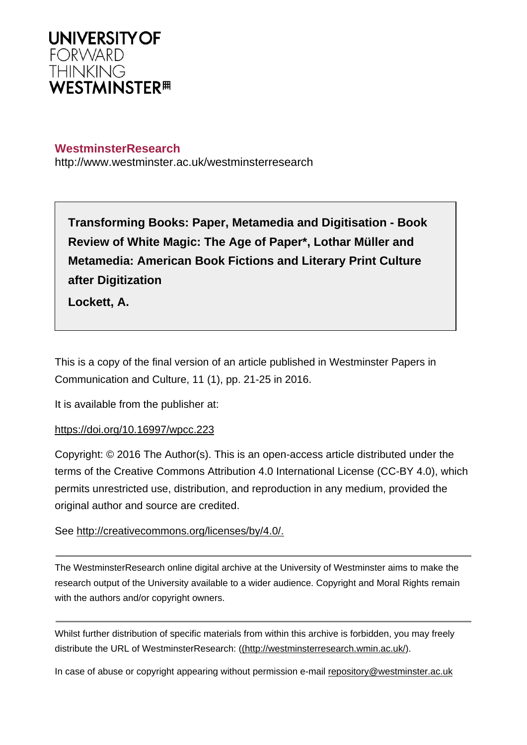

# **WestminsterResearch**

http://www.westminster.ac.uk/westminsterresearch

**Transforming Books: Paper, Metamedia and Digitisation - Book Review of White Magic: The Age of Paper\*, Lothar Müller and Metamedia: American Book Fictions and Literary Print Culture after Digitization**

**Lockett, A.**

This is a copy of the final version of an article published in Westminster Papers in Communication and Culture, 11 (1), pp. 21-25 in 2016.

It is available from the publisher at:

## <https://doi.org/10.16997/wpcc.223>

Copyright: © 2016 The Author(s). This is an open-access article distributed under the terms of the Creative Commons Attribution 4.0 International License (CC-BY 4.0), which permits unrestricted use, distribution, and reproduction in any medium, provided the original author and source are credited.

See <http://creativecommons.org/licenses/by/4.0/.>

The WestminsterResearch online digital archive at the University of Westminster aims to make the research output of the University available to a wider audience. Copyright and Moral Rights remain with the authors and/or copyright owners.

Whilst further distribution of specific materials from within this archive is forbidden, you may freely distribute the URL of WestminsterResearch: [\(\(http://westminsterresearch.wmin.ac.uk/](http://westminsterresearch.wmin.ac.uk/)).

In case of abuse or copyright appearing without permission e-mail <repository@westminster.ac.uk>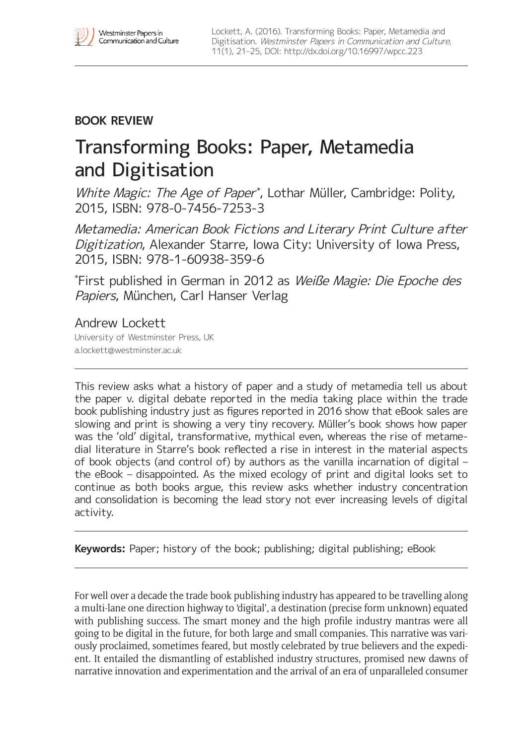# **BOOK REVIEW**

# Transforming Books: Paper, Metamedia and Digitisation

White Magic: The Age of Paper<sup>\*</sup>, Lothar Müller, Cambridge: Polity, 2015, ISBN: 978-0-7456-7253-3

Metamedia: American Book Fictions and Literary Print Culture after Digitization, Alexander Starre, Iowa City: University of Iowa Press, 2015, ISBN: 978-1-60938-359-6

\* First published in German in 2012 as Weiße Magie: Die Epoche des Papiers, München, Carl Hanser Verlag

## Andrew Lockett

University of Westminster Press, UK [a.lockett@westminster.ac.uk](mailto:a.lockett@westminster.ac.uk)

This review asks what a history of paper and a study of metamedia tell us about the paper v. digital debate reported in the media taking place within the trade book publishing industry just as figures reported in 2016 show that eBook sales are slowing and print is showing a very tiny recovery. Müller's book shows how paper was the 'old' digital, transformative, mythical even, whereas the rise of metamedial literature in Starre's book reflected a rise in interest in the material aspects of book objects (and control of) by authors as the vanilla incarnation of digital – the eBook – disappointed. As the mixed ecology of print and digital looks set to continue as both books argue, this review asks whether industry concentration and consolidation is becoming the lead story not ever increasing levels of digital activity.

**Keywords:** Paper; history of the book; publishing; digital publishing; eBook

For well over a decade the trade book publishing industry has appeared to be travelling along a multi-lane one direction highway to 'digital', a destination (precise form unknown) equated with publishing success. The smart money and the high profile industry mantras were all going to be digital in the future, for both large and small companies. This narrative was variously proclaimed, sometimes feared, but mostly celebrated by true believers and the expedient. It entailed the dismantling of established industry structures, promised new dawns of narrative innovation and experimentation and the arrival of an era of unparalleled consumer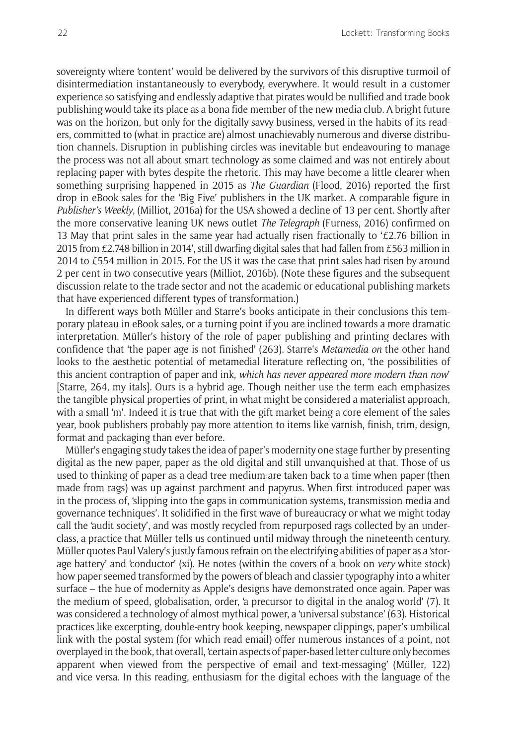sovereignty where 'content' would be delivered by the survivors of this disruptive turmoil of disintermediation instantaneously to everybody, everywhere. It would result in a customer experience so satisfying and endlessly adaptive that pirates would be nullified and trade book publishing would take its place as a bona fide member of the new media club. A bright future was on the horizon, but only for the digitally savvy business, versed in the habits of its readers, committed to (what in practice are) almost unachievably numerous and diverse distribution channels. Disruption in publishing circles was inevitable but endeavouring to manage the process was not all about smart technology as some claimed and was not entirely about replacing paper with bytes despite the rhetoric. This may have become a little clearer when something surprising happened in 2015 as *The Guardian* (Flood, 2016) reported the first drop in eBook sales for the 'Big Five' publishers in the UK market. A comparable figure in *Publisher's Weekly*, (Milliot, 2016a) for the USA showed a decline of 13 per cent. Shortly after the more conservative leaning UK news outlet *The Telegraph* (Furness, 2016) confirmed on 13 May that print sales in the same year had actually risen fractionally to  $f2.76$  billion in 2015 from £2.748 billion in 2014', still dwarfing digital sales that had fallen from £563 million in 2014 to £554 million in 2015. For the US it was the case that print sales had risen by around 2 per cent in two consecutive years (Milliot, 2016b). (Note these figures and the subsequent discussion relate to the trade sector and not the academic or educational publishing markets that have experienced different types of transformation.)

In different ways both Müller and Starre's books anticipate in their conclusions this temporary plateau in eBook sales, or a turning point if you are inclined towards a more dramatic interpretation. Müller's history of the role of paper publishing and printing declares with confidence that 'the paper age is not finished' (263). Starre's *Metamedia on* the other hand looks to the aesthetic potential of metamedial literature reflecting on, 'the possibilities of this ancient contraption of paper and ink, *which has never appeared more modern than now*' [Starre, 264, my itals]. Ours is a hybrid age. Though neither use the term each emphasizes the tangible physical properties of print, in what might be considered a materialist approach, with a small 'm'. Indeed it is true that with the gift market being a core element of the sales year, book publishers probably pay more attention to items like varnish, finish, trim, design, format and packaging than ever before.

Müller's engaging study takes the idea of paper's modernity one stage further by presenting digital as the new paper, paper as the old digital and still unvanquished at that. Those of us used to thinking of paper as a dead tree medium are taken back to a time when paper (then made from rags) was up against parchment and papyrus. When first introduced paper was in the process of, 'slipping into the gaps in communication systems, transmission media and governance techniques'. It solidified in the first wave of bureaucracy or what we might today call the 'audit society', and was mostly recycled from repurposed rags collected by an underclass, a practice that Müller tells us continued until midway through the nineteenth century. Müller quotes Paul Valery's justly famous refrain on the electrifying abilities of paper as a 'storage battery' and 'conductor' (xi). He notes (within the covers of a book on *very* white stock) how paper seemed transformed by the powers of bleach and classier typography into a whiter surface – the hue of modernity as Apple's designs have demonstrated once again. Paper was the medium of speed, globalisation, order, 'a precursor to digital in the analog world' (7). It was considered a technology of almost mythical power, a 'universal substance' (63). Historical practices like excerpting, double-entry book keeping, newspaper clippings, paper's umbilical link with the postal system (for which read email) offer numerous instances of a point, not overplayed in the book, that overall, 'certain aspects of paper-based letter culture only becomes apparent when viewed from the perspective of email and text-messaging' (Müller, 122) and vice versa. In this reading, enthusiasm for the digital echoes with the language of the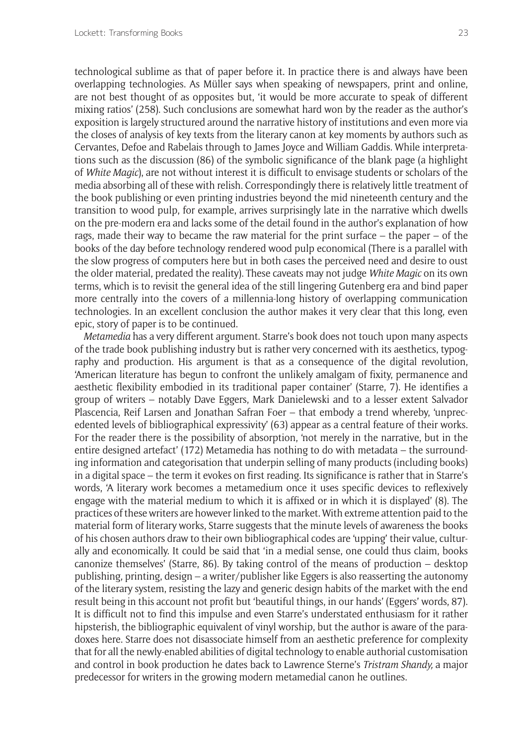technological sublime as that of paper before it. In practice there is and always have been overlapping technologies. As Müller says when speaking of newspapers, print and online, are not best thought of as opposites but, 'it would be more accurate to speak of different mixing ratios' (258). Such conclusions are somewhat hard won by the reader as the author's exposition is largely structured around the narrative history of institutions and even more via the closes of analysis of key texts from the literary canon at key moments by authors such as Cervantes, Defoe and Rabelais through to James Joyce and William Gaddis. While interpretations such as the discussion (86) of the symbolic significance of the blank page (a highlight of *White Magic*), are not without interest it is difficult to envisage students or scholars of the media absorbing all of these with relish. Correspondingly there is relatively little treatment of the book publishing or even printing industries beyond the mid nineteenth century and the transition to wood pulp, for example, arrives surprisingly late in the narrative which dwells on the pre-modern era and lacks some of the detail found in the author's explanation of how rags, made their way to became the raw material for the print surface – the paper – of the books of the day before technology rendered wood pulp economical (There is a parallel with the slow progress of computers here but in both cases the perceived need and desire to oust the older material, predated the reality). These caveats may not judge *White Magic* on its own terms, which is to revisit the general idea of the still lingering Gutenberg era and bind paper more centrally into the covers of a millennia-long history of overlapping communication technologies. In an excellent conclusion the author makes it very clear that this long, even epic, story of paper is to be continued.

*Metamedia* has a very different argument. Starre's book does not touch upon many aspects of the trade book publishing industry but is rather very concerned with its aesthetics, typography and production. His argument is that as a consequence of the digital revolution, 'American literature has begun to confront the unlikely amalgam of fixity, permanence and aesthetic flexibility embodied in its traditional paper container' (Starre, 7). He identifies a group of writers – notably Dave Eggers, Mark Danielewski and to a lesser extent Salvador Plascencia, Reif Larsen and Jonathan Safran Foer – that embody a trend whereby, 'unprecedented levels of bibliographical expressivity' (63) appear as a central feature of their works. For the reader there is the possibility of absorption, 'not merely in the narrative, but in the entire designed artefact' (172) Metamedia has nothing to do with metadata – the surrounding information and categorisation that underpin selling of many products (including books) in a digital space – the term it evokes on first reading. Its significance is rather that in Starre's words, 'A literary work becomes a metamedium once it uses specific devices to reflexively engage with the material medium to which it is affixed or in which it is displayed' (8). The practices of these writers are however linked to the market. With extreme attention paid to the material form of literary works, Starre suggests that the minute levels of awareness the books of his chosen authors draw to their own bibliographical codes are 'upping' their value, culturally and economically. It could be said that 'in a medial sense, one could thus claim, books canonize themselves' (Starre, 86). By taking control of the means of production – desktop publishing, printing, design – a writer/publisher like Eggers is also reasserting the autonomy of the literary system, resisting the lazy and generic design habits of the market with the end result being in this account not profit but 'beautiful things, in our hands' (Eggers' words, 87). It is difficult not to find this impulse and even Starre's understated enthusiasm for it rather hipsterish, the bibliographic equivalent of vinyl worship, but the author is aware of the paradoxes here. Starre does not disassociate himself from an aesthetic preference for complexity that for all the newly-enabled abilities of digital technology to enable authorial customisation and control in book production he dates back to Lawrence Sterne's *Tristram Shandy,* a major predecessor for writers in the growing modern metamedial canon he outlines.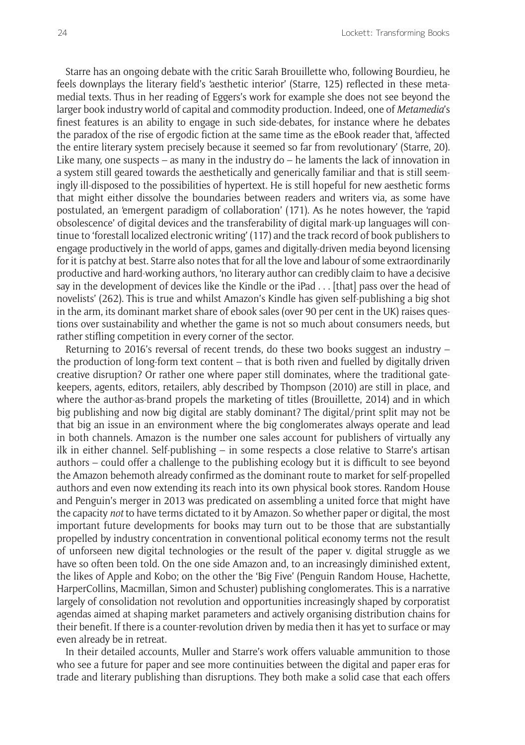Starre has an ongoing debate with the critic Sarah Brouillette who, following Bourdieu, he feels downplays the literary field's 'aesthetic interior' (Starre, 125) reflected in these metamedial texts. Thus in her reading of Eggers's work for example she does not see beyond the larger book industry world of capital and commodity production. Indeed, one of *Metamedia*'s finest features is an ability to engage in such side-debates, for instance where he debates the paradox of the rise of ergodic fiction at the same time as the eBook reader that, 'affected the entire literary system precisely because it seemed so far from revolutionary' (Starre, 20). Like many, one suspects – as many in the industry do – he laments the lack of innovation in a system still geared towards the aesthetically and generically familiar and that is still seemingly ill-disposed to the possibilities of hypertext. He is still hopeful for new aesthetic forms that might either dissolve the boundaries between readers and writers via, as some have postulated, an 'emergent paradigm of collaboration' (171). As he notes however, the 'rapid obsolescence' of digital devices and the transferability of digital mark-up languages will continue to 'forestall localized electronic writing' (117) and the track record of book publishers to engage productively in the world of apps, games and digitally-driven media beyond licensing for it is patchy at best. Starre also notes that for all the love and labour of some extraordinarily productive and hard-working authors, 'no literary author can credibly claim to have a decisive say in the development of devices like the Kindle or the iPad . . . [that] pass over the head of novelists' (262). This is true and whilst Amazon's Kindle has given self-publishing a big shot in the arm, its dominant market share of ebook sales (over 90 per cent in the UK) raises questions over sustainability and whether the game is not so much about consumers needs, but rather stifling competition in every corner of the sector.

Returning to 2016's reversal of recent trends, do these two books suggest an industry  $$ the production of long-form text content – that is both riven and fuelled by digitally driven creative disruption? Or rather one where paper still dominates, where the traditional gatekeepers, agents, editors, retailers, ably described by Thompson (2010) are still in place, and where the author-as-brand propels the marketing of titles (Brouillette, 2014) and in which big publishing and now big digital are stably dominant? The digital/print split may not be that big an issue in an environment where the big conglomerates always operate and lead in both channels. Amazon is the number one sales account for publishers of virtually any ilk in either channel. Self-publishing – in some respects a close relative to Starre's artisan authors – could offer a challenge to the publishing ecology but it is difficult to see beyond the Amazon behemoth already confirmed as the dominant route to market for self-propelled authors and even now extending its reach into its own physical book stores. Random House and Penguin's merger in 2013 was predicated on assembling a united force that might have the capacity *not* to have terms dictated to it by Amazon. So whether paper or digital, the most important future developments for books may turn out to be those that are substantially propelled by industry concentration in conventional political economy terms not the result of unforseen new digital technologies or the result of the paper v. digital struggle as we have so often been told. On the one side Amazon and, to an increasingly diminished extent, the likes of Apple and Kobo; on the other the 'Big Five' (Penguin Random House, Hachette, HarperCollins, Macmillan, Simon and Schuster) publishing conglomerates. This is a narrative largely of consolidation not revolution and opportunities increasingly shaped by corporatist agendas aimed at shaping market parameters and actively organising distribution chains for their benefit. If there is a counter-revolution driven by media then it has yet to surface or may even already be in retreat.

In their detailed accounts, Muller and Starre's work offers valuable ammunition to those who see a future for paper and see more continuities between the digital and paper eras for trade and literary publishing than disruptions. They both make a solid case that each offers